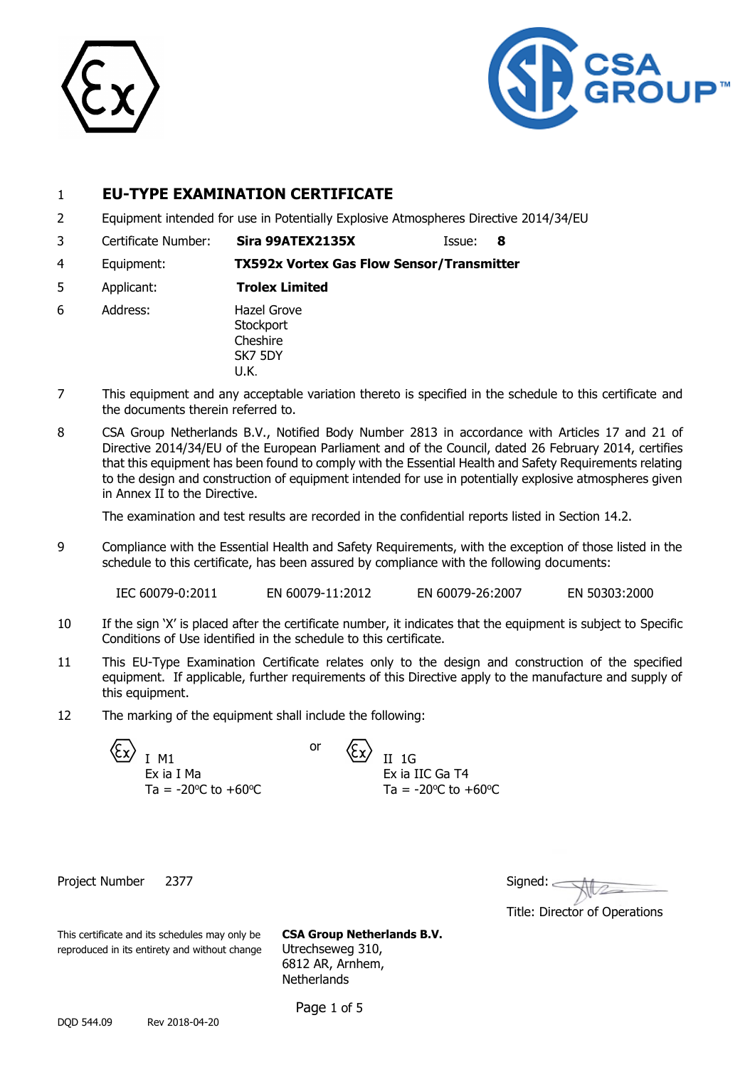



### 1 **EU-TYPE EXAMINATION CERTIFICATE**

- 2 Equipment intended for use in Potentially Explosive Atmospheres Directive 2014/34/EU
- 3 Certificate Number: **Sira 99ATEX2135X** Issue: **8**
- 4 Equipment: **TX592x Vortex Gas Flow Sensor/Transmitter**
- 5 Applicant: **Trolex Limited**
- 6 Address: Hazel Grove **Stockport** Cheshire SK7 5DY U.K.
- 7 This equipment and any acceptable variation thereto is specified in the schedule to this certificate and the documents therein referred to.
- 8 CSA Group Netherlands B.V., Notified Body Number 2813 in accordance with Articles 17 and 21 of Directive 2014/34/EU of the European Parliament and of the Council, dated 26 February 2014, certifies that this equipment has been found to comply with the Essential Health and Safety Requirements relating to the design and construction of equipment intended for use in potentially explosive atmospheres given in Annex II to the Directive.

The examination and test results are recorded in the confidential reports listed in Section 14.2.

9 Compliance with the Essential Health and Safety Requirements, with the exception of those listed in the schedule to this certificate, has been assured by compliance with the following documents:

IEC 60079-0:2011 EN 60079-11:2012 EN 60079-26:2007 EN 50303:2000

- 10 If the sign 'X' is placed after the certificate number, it indicates that the equipment is subject to Specific Conditions of Use identified in the schedule to this certificate.
- 11 This EU-Type Examination Certificate relates only to the design and construction of the specified equipment. If applicable, further requirements of this Directive apply to the manufacture and supply of this equipment.
- 12 The marking of the equipment shall include the following:

| T M1                  |
|-----------------------|
| Ex ia I Ma            |
| Ta = -20 °C to +60 °C |

II 1G Ex ia IIC Ga T4 Ta =  $-20^{\circ}$ C to  $+60^{\circ}$ C

Project Number 2377

| Signed: |  |
|---------|--|
|         |  |

Title: Director of Operations

This certificate and its schedules may only be **CSA Group Netherlands B.V.** reproduced in its entirety and without change Utrechseweg 310, 6812 AR, Arnhem, **Netherlands** 

Page 1 of 5

or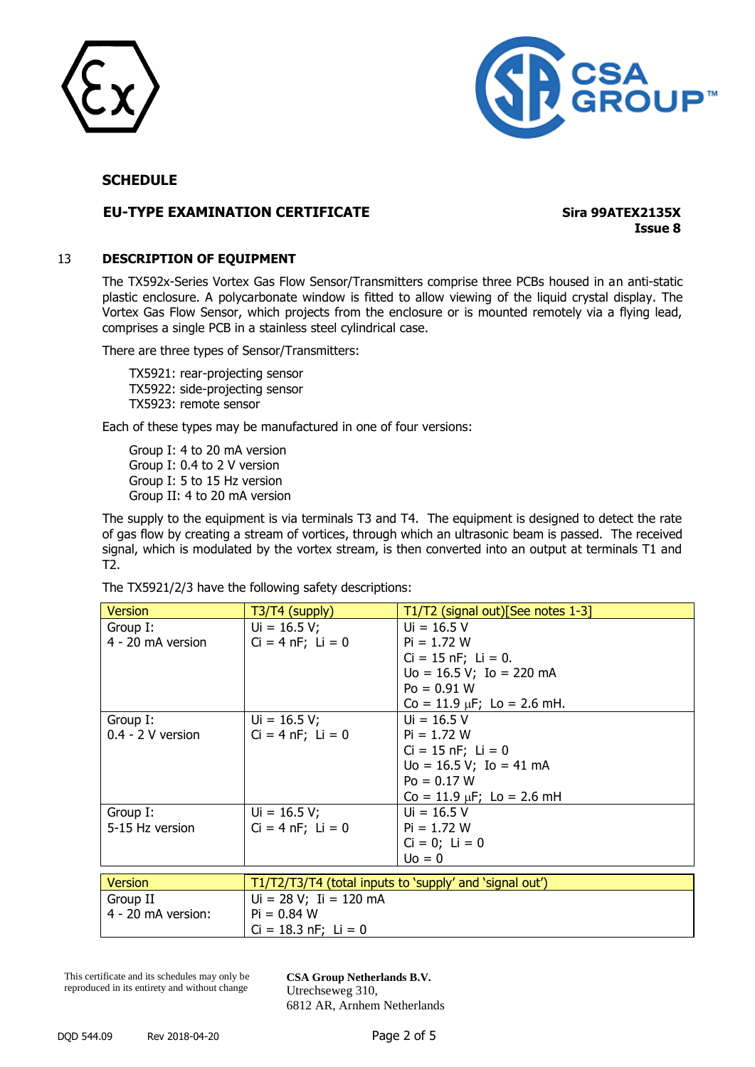



### **EU-TYPE EXAMINATION CERTIFICATE Sira 99ATEX2135X**

**Issue 8**

### 13 **DESCRIPTION OF EQUIPMENT**

The TX592x-Series Vortex Gas Flow Sensor/Transmitters comprise three PCBs housed in an anti-static plastic enclosure. A polycarbonate window is fitted to allow viewing of the liquid crystal display. The Vortex Gas Flow Sensor, which projects from the enclosure or is mounted remotely via a flying lead, comprises a single PCB in a stainless steel cylindrical case.

There are three types of Sensor/Transmitters:

TX5921: rear-projecting sensor TX5922: side-projecting sensor TX5923: remote sensor

Each of these types may be manufactured in one of four versions:

Group I: 4 to 20 mA version Group I: 0.4 to 2 V version Group I: 5 to 15 Hz version Group II: 4 to 20 mA version

The supply to the equipment is via terminals T3 and T4. The equipment is designed to detect the rate of gas flow by creating a stream of vortices, through which an ultrasonic beam is passed. The received signal, which is modulated by the vortex stream, is then converted into an output at terminals T1 and T2.

The TX5921/2/3 have the following safety descriptions:

| <b>Version</b>                                                            | T3/T4 (supply)           | T1/T2 (signal out)[See notes 1-3] |  |  |
|---------------------------------------------------------------------------|--------------------------|-----------------------------------|--|--|
| Group I:                                                                  | $Ui = 16.5 V;$           | $U_i = 16.5 V$                    |  |  |
| 4 - 20 mA version                                                         | $Ci = 4 nF$ ; $Li = 0$   | $Pi = 1.72 W$                     |  |  |
|                                                                           |                          | $Ci = 15 nF$ ; $Li = 0$ .         |  |  |
|                                                                           |                          | $Uo = 16.5 V; Io = 220 mA$        |  |  |
|                                                                           |                          | $Po = 0.91 W$                     |  |  |
|                                                                           |                          | $Co = 11.9 \mu F$ ; Lo = 2.6 mH.  |  |  |
| Group I:                                                                  | $Ui = 16.5 V;$           | $U_i = 16.5 V$                    |  |  |
| $0.4 - 2$ V version                                                       | $Ci = 4 nF$ ; $Li = 0$   | $Pi = 1.72 W$                     |  |  |
|                                                                           |                          | $Ci = 15 nF$ ; Li = 0             |  |  |
|                                                                           |                          | $Uo = 16.5 V$ ; Io = 41 mA        |  |  |
|                                                                           |                          | $Po = 0.17 W$                     |  |  |
|                                                                           |                          | $Co = 11.9 \mu F$ ; Lo = 2.6 mH   |  |  |
| Group I:                                                                  | $Ui = 16.5 V;$           | $Ui = 16.5 V$                     |  |  |
| 5-15 Hz version                                                           | $Ci = 4 nF; Li = 0$      | $Pi = 1.72 W$                     |  |  |
|                                                                           |                          | $Ci = 0; Li = 0$                  |  |  |
|                                                                           |                          | $U0 = 0$                          |  |  |
| <b>Version</b><br>T1/T2/T3/T4 (total inputs to 'supply' and 'signal out') |                          |                                   |  |  |
| Group II                                                                  | $Ui = 28 V; Ii = 120 mA$ |                                   |  |  |
| 4 - 20 mA version:                                                        | $Pi = 0.84 W$            |                                   |  |  |
|                                                                           |                          |                                   |  |  |
|                                                                           | $Ci = 18.3$ nF; $Li = 0$ |                                   |  |  |

This certificate and its schedules may only be reproduced in its entirety and without change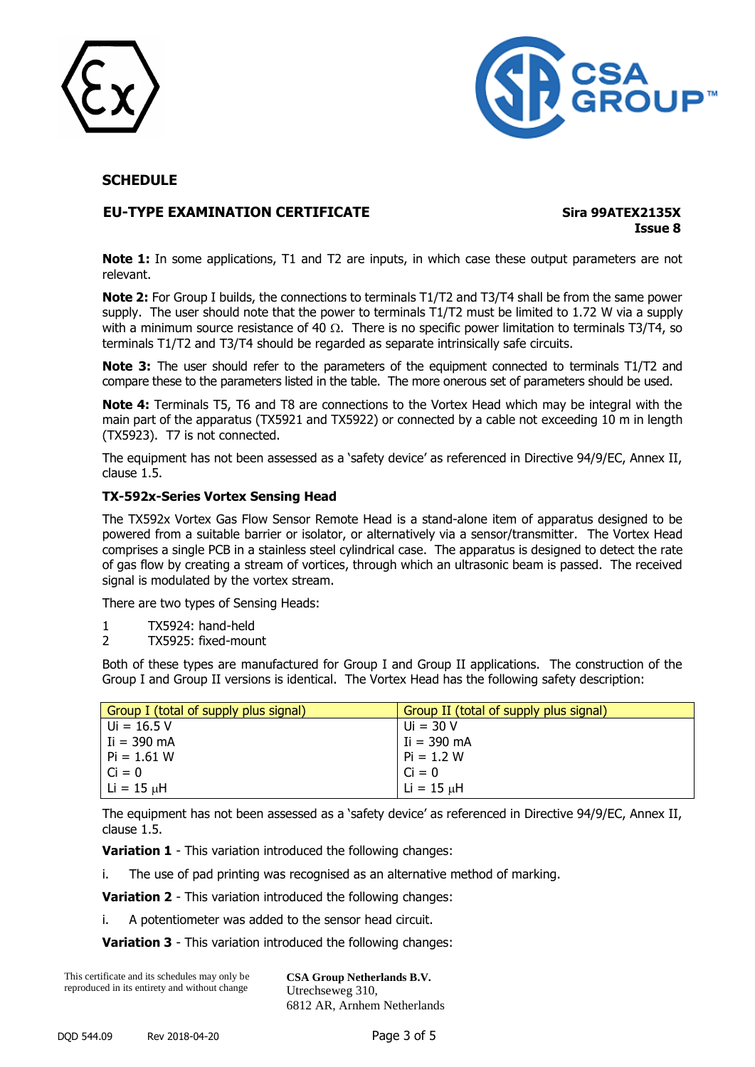



### **EU-TYPE EXAMINATION CERTIFICATE Sira 99ATEX2135X**

**Issue 8**

**Note 1:** In some applications, T1 and T2 are inputs, in which case these output parameters are not relevant.

**Note 2:** For Group I builds, the connections to terminals T1/T2 and T3/T4 shall be from the same power supply. The user should note that the power to terminals T1/T2 must be limited to 1.72 W via a supply with a minimum source resistance of 40  $\Omega$ . There is no specific power limitation to terminals T3/T4, so terminals T1/T2 and T3/T4 should be regarded as separate intrinsically safe circuits.

Note 3: The user should refer to the parameters of the equipment connected to terminals T1/T2 and compare these to the parameters listed in the table. The more onerous set of parameters should be used.

**Note 4:** Terminals T5, T6 and T8 are connections to the Vortex Head which may be integral with the main part of the apparatus (TX5921 and TX5922) or connected by a cable not exceeding 10 m in length (TX5923). T7 is not connected.

The equipment has not been assessed as a 'safety device' as referenced in Directive 94/9/EC, Annex II, clause 1.5.

### **TX-592x-Series Vortex Sensing Head**

The TX592x Vortex Gas Flow Sensor Remote Head is a stand-alone item of apparatus designed to be powered from a suitable barrier or isolator, or alternatively via a sensor/transmitter. The Vortex Head comprises a single PCB in a stainless steel cylindrical case. The apparatus is designed to detect the rate of gas flow by creating a stream of vortices, through which an ultrasonic beam is passed. The received signal is modulated by the vortex stream.

There are two types of Sensing Heads:

- 1 TX5924: hand-held
- 2 TX5925: fixed-mount

Both of these types are manufactured for Group I and Group II applications. The construction of the Group I and Group II versions is identical. The Vortex Head has the following safety description:

| Group I (total of supply plus signal) | Group II (total of supply plus signal) |
|---------------------------------------|----------------------------------------|
| $Ui = 16.5 V$                         | Ui = 30 V                              |
| $I = 390 \text{ mA}$                  | Ii = 390 mA                            |
| $Pi = 1.61 W$                         | $Pi = 1.2 W$                           |
| $Ci = 0$                              | $Ci = 0$                               |
| $ $ Li = 15 $\mu$ H                   | $Li = 15 \mu H$                        |

The equipment has not been assessed as a 'safety device' as referenced in Directive 94/9/EC, Annex II, clause 1.5.

**Variation 1** - This variation introduced the following changes:

i. The use of pad printing was recognised as an alternative method of marking.

**Variation 2** - This variation introduced the following changes:

i. A potentiometer was added to the sensor head circuit.

**Variation 3** - This variation introduced the following changes:

This certificate and its schedules may only be reproduced in its entirety and without change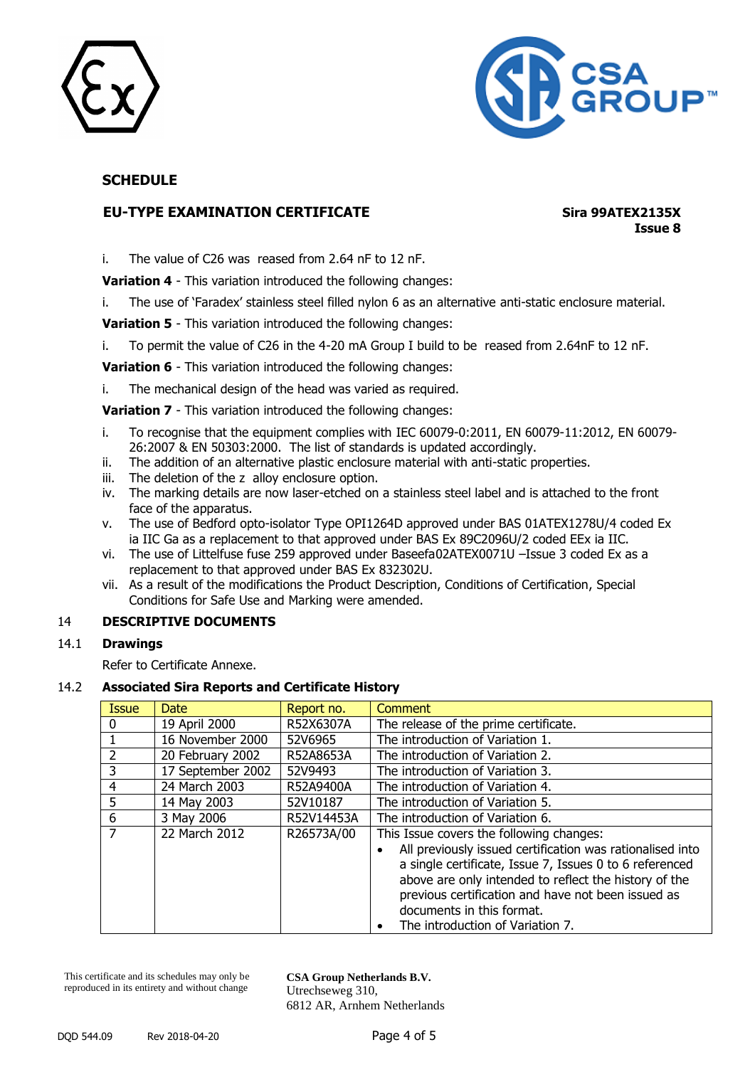



### **EU-TYPE EXAMINATION CERTIFICATE Sira 99ATEX2135X**

**Issue 8**

i. The value of C26 was reased from 2.64 nF to 12 nF.

**Variation 4** - This variation introduced the following changes:

i. The use of 'Faradex' stainless steel filled nylon 6 as an alternative anti-static enclosure material.

**Variation 5** - This variation introduced the following changes:

i. To permit the value of C26 in the 4-20 mA Group I build to be reased from 2.64nF to 12 nF.

**Variation 6** - This variation introduced the following changes:

i. The mechanical design of the head was varied as required.

**Variation 7** - This variation introduced the following changes:

- i. To recognise that the equipment complies with IEC 60079-0:2011, EN 60079-11:2012, EN 60079- 26:2007 & EN 50303:2000. The list of standards is updated accordingly.
- ii. The addition of an alternative plastic enclosure material with anti-static properties.
- iii. The deletion of the z alloy enclosure option.
- iv. The marking details are now laser-etched on a stainless steel label and is attached to the front face of the apparatus.
- v. The use of Bedford opto-isolator Type OPI1264D approved under BAS 01ATEX1278U/4 coded Ex ia IIC Ga as a replacement to that approved under BAS Ex 89C2096U/2 coded EEx ia IIC.
- vi. The use of Littelfuse fuse 259 approved under Baseefa02ATEX0071U –Issue 3 coded Ex as a replacement to that approved under BAS Ex 832302U.
- vii. As a result of the modifications the Product Description, Conditions of Certification, Special Conditions for Safe Use and Marking were amended.

### 14 **DESCRIPTIVE DOCUMENTS**

### 14.1 **Drawings**

Refer to Certificate Annexe.

### 14.2 **Associated Sira Reports and Certificate History**

| <b>Issue</b>   | Date              | Report no. | <b>Comment</b>                                            |
|----------------|-------------------|------------|-----------------------------------------------------------|
| 0              | 19 April 2000     | R52X6307A  | The release of the prime certificate.                     |
|                | 16 November 2000  | 52V6965    | The introduction of Variation 1.                          |
| $\overline{2}$ | 20 February 2002  | R52A8653A  | The introduction of Variation 2.                          |
| 3              | 17 September 2002 | 52V9493    | The introduction of Variation 3.                          |
| $\overline{4}$ | 24 March 2003     | R52A9400A  | The introduction of Variation 4.                          |
| 5              | 14 May 2003       | 52V10187   | The introduction of Variation 5.                          |
| 6              | 3 May 2006        | R52V14453A | The introduction of Variation 6.                          |
| 7              | 22 March 2012     | R26573A/00 | This Issue covers the following changes:                  |
|                |                   |            | All previously issued certification was rationalised into |
|                |                   |            | a single certificate, Issue 7, Issues 0 to 6 referenced   |
|                |                   |            | above are only intended to reflect the history of the     |
|                |                   |            | previous certification and have not been issued as        |
|                |                   |            | documents in this format.                                 |
|                |                   |            | The introduction of Variation 7.                          |

This certificate and its schedules may only be reproduced in its entirety and without change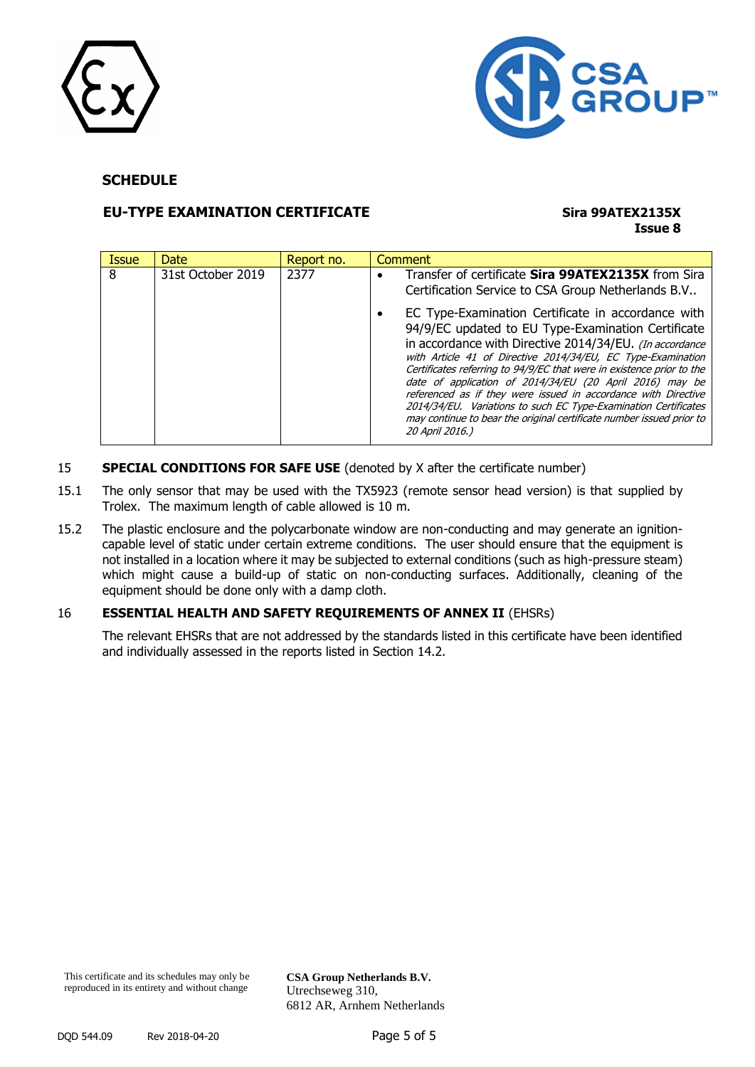



### **EU-TYPE EXAMINATION CERTIFICATE Sira 99ATEX2135X**

# **Issue 8**

| <b>Issue</b> | Date              | Report no. | <b>Comment</b>                                                                                                                                                                                                                                                                                                                                                                                                                                                                                                                                                                                                                                                                                                       |
|--------------|-------------------|------------|----------------------------------------------------------------------------------------------------------------------------------------------------------------------------------------------------------------------------------------------------------------------------------------------------------------------------------------------------------------------------------------------------------------------------------------------------------------------------------------------------------------------------------------------------------------------------------------------------------------------------------------------------------------------------------------------------------------------|
| 8            | 31st October 2019 | 2377       | Transfer of certificate Sira 99ATEX2135X from Sira<br>Certification Service to CSA Group Netherlands B.V<br>EC Type-Examination Certificate in accordance with<br>94/9/EC updated to EU Type-Examination Certificate<br>in accordance with Directive 2014/34/EU. (In accordance<br>with Article 41 of Directive 2014/34/EU, EC Type-Examination<br>Certificates referring to 94/9/EC that were in existence prior to the<br>date of application of 2014/34/EU (20 April 2016) may be<br>referenced as if they were issued in accordance with Directive<br>2014/34/EU. Variations to such EC Type-Examination Certificates<br>may continue to bear the original certificate number issued prior to<br>20 April 2016,) |

- 15 **SPECIAL CONDITIONS FOR SAFE USE** (denoted by X after the certificate number)
- 15.1 The only sensor that may be used with the TX5923 (remote sensor head version) is that supplied by Trolex. The maximum length of cable allowed is 10 m.
- 15.2 The plastic enclosure and the polycarbonate window are non-conducting and may generate an ignitioncapable level of static under certain extreme conditions. The user should ensure that the equipment is not installed in a location where it may be subjected to external conditions (such as high-pressure steam) which might cause a build-up of static on non-conducting surfaces. Additionally, cleaning of the equipment should be done only with a damp cloth.

### 16 **ESSENTIAL HEALTH AND SAFETY REQUIREMENTS OF ANNEX II** (EHSRs)

The relevant EHSRs that are not addressed by the standards listed in this certificate have been identified and individually assessed in the reports listed in Section 14.2.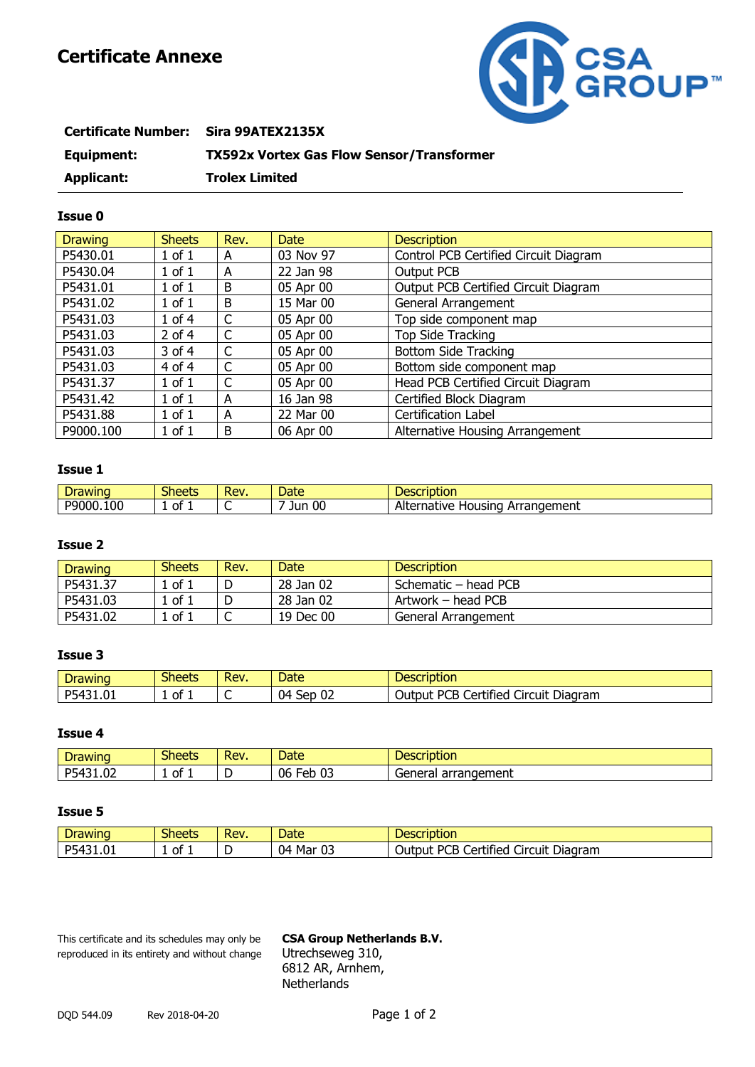# **Certificate Annexe**



| <b>Certificate Number:</b> | Sira 99ATEX2135X                                 |
|----------------------------|--------------------------------------------------|
| Equipment:                 | <b>TX592x Vortex Gas Flow Sensor/Transformer</b> |
| <b>Applicant:</b>          | <b>Trolex Limited</b>                            |

### **Issue 0**

| <b>Drawing</b> | <b>Sheets</b> | Rev. | Date      | <b>Description</b>                    |
|----------------|---------------|------|-----------|---------------------------------------|
| P5430.01       | $1$ of $1$    | A    | 03 Nov 97 | Control PCB Certified Circuit Diagram |
| P5430.04       | $1$ of $1$    | A    | 22 Jan 98 | Output PCB                            |
| P5431.01       | $1$ of $1$    | B    | 05 Apr 00 | Output PCB Certified Circuit Diagram  |
| P5431.02       | $1$ of $1$    | B    | 15 Mar 00 | General Arrangement                   |
| P5431.03       | $1$ of $4$    | C    | 05 Apr 00 | Top side component map                |
| P5431.03       | $2$ of 4      |      | 05 Apr 00 | Top Side Tracking                     |
| P5431.03       | 3 of 4        |      | 05 Apr 00 | <b>Bottom Side Tracking</b>           |
| P5431.03       | 4 of 4        | C    | 05 Apr 00 | Bottom side component map             |
| P5431.37       | $1$ of $1$    | C    | 05 Apr 00 | Head PCB Certified Circuit Diagram    |
| P5431.42       | $1$ of $1$    | A    | 16 Jan 98 | Certified Block Diagram               |
| P5431.88       | $1$ of $1$    | A    | 22 Mar 00 | Certification Label                   |
| P9000.100      | $1$ of $1$    | B    | 06 Apr 00 | Alternative Housing Arrangement       |

### **Issue 1**

| -<br>. .         | $\sim$<br>$-00++$<br><b>Since</b> | ום ל<br>75 V I | .<br>pucc | TULIUIT<br>and the state of the state                    |
|------------------|-----------------------------------|----------------|-----------|----------------------------------------------------------|
| 10C<br>D۵<br>nnr | . nt                              | ∼              | 00<br>Jur | A 14<br>angement<br>enative<br>ousinc<br>−™<br>на<br>AIU |

### **Issue 2**

| <b>Drawing</b> | <b>Sheets</b>     | Rev. | Date <sup>1</sup> | <b>Description</b>   |
|----------------|-------------------|------|-------------------|----------------------|
| P5431.37       | ' of 1            |      | 28 Jan 02         | Schematic – head PCB |
| P5431.03       | 1 of 1            |      | 28 Jan 02         | Artwork – head PCB   |
| P5431.02       | $^{\circ}$ of $1$ | ֊    | 19 Dec 00         | General Arrangement  |

### **Issue 3**

|              | <b>Sheets</b> | Rev. | Date                             | Description                                                        |
|--------------|---------------|------|----------------------------------|--------------------------------------------------------------------|
| DЕ<br>171.UT | 0t            | ∼    | $\sim$<br>04 S<br>ser<br>∪∠<br>◡ | $\cdots$<br>Diagram<br>റല<br>Circuit<br>Jutput<br>tified<br>$\sim$ |

### **Issue 4**

| -<br>$\cdots$<br>IWINC                   | $\sim$<br>$\rightarrow$ neetr<br>- הכפר | Rev. | Date                      | Descr<br>™ IDUO⊾                              |
|------------------------------------------|-----------------------------------------|------|---------------------------|-----------------------------------------------|
| $\sim$<br>DБ<br>ـ ـ ـ ـ ـ ـ ـ ـ ـ ـ<br>∽ | ot<br>÷                                 |      | $\sim$<br>06<br>-^ K<br>ັ | angement<br>$\sim$<br>ue<br>чe<br>:ı aı<br>aı |

### **Issue 5**

| -<br>$\overline{\phantom{a}}$<br><b>FINITIC</b> | $\sim$<br><b>Sheets</b> | Rev. | Jate           | Description                                                                  |
|-------------------------------------------------|-------------------------|------|----------------|------------------------------------------------------------------------------|
| DE.<br>1. U J. L                                | 0t<br>. .               | ∽    | 04<br>Mai<br>◡ | $\cdots$<br>∽د.<br>$\sim$<br>Diagram<br><br>Circuit<br>Certified<br>Jutbur 1 |

This certificate and its schedules may only be **CSA Group Netherlands B.V.** reproduced in its entirety and without change Utrechseweg 310,

6812 AR, Arnhem, **Netherlands**